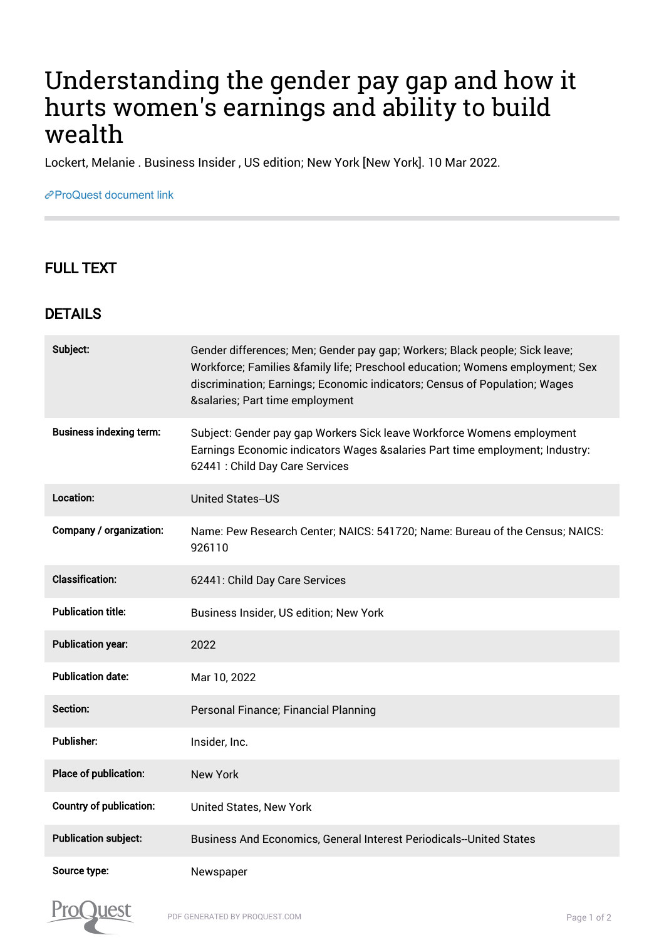## Understanding the gender pay gap and how it hurts women's earnings and ability to build wealth

Lockert, Melanie . Business Insider , US edition; New York [New York]. 10 Mar 2022.

## [ProQuest document link](https://www.proquest.com/newspapers/understanding-gender-pay-gap-how-hurts-womens/docview/2637689570/se-2?accountid=44910)

## FULL TEXT

## DETAILS

| Subject:                       | Gender differences; Men; Gender pay gap; Workers; Black people; Sick leave;<br>Workforce; Families & family life; Preschool education; Womens employment; Sex<br>discrimination; Earnings; Economic indicators; Census of Population; Wages<br>&salaries Part time employment |
|--------------------------------|-------------------------------------------------------------------------------------------------------------------------------------------------------------------------------------------------------------------------------------------------------------------------------|
| <b>Business indexing term:</b> | Subject: Gender pay gap Workers Sick leave Workforce Womens employment<br>Earnings Economic indicators Wages & salaries Part time employment; Industry:<br>62441 : Child Day Care Services                                                                                    |
| Location:                      | <b>United States--US</b>                                                                                                                                                                                                                                                      |
| Company / organization:        | Name: Pew Research Center; NAICS: 541720; Name: Bureau of the Census; NAICS:<br>926110                                                                                                                                                                                        |
| <b>Classification:</b>         | 62441: Child Day Care Services                                                                                                                                                                                                                                                |
| <b>Publication title:</b>      | Business Insider, US edition; New York                                                                                                                                                                                                                                        |
| <b>Publication year:</b>       | 2022                                                                                                                                                                                                                                                                          |
| <b>Publication date:</b>       | Mar 10, 2022                                                                                                                                                                                                                                                                  |
| Section:                       | Personal Finance; Financial Planning                                                                                                                                                                                                                                          |
| <b>Publisher:</b>              | Insider, Inc.                                                                                                                                                                                                                                                                 |
| Place of publication:          | <b>New York</b>                                                                                                                                                                                                                                                               |
| <b>Country of publication:</b> | <b>United States, New York</b>                                                                                                                                                                                                                                                |
| <b>Publication subject:</b>    | Business And Economics, General Interest Periodicals--United States                                                                                                                                                                                                           |
| Source type:                   | Newspaper                                                                                                                                                                                                                                                                     |